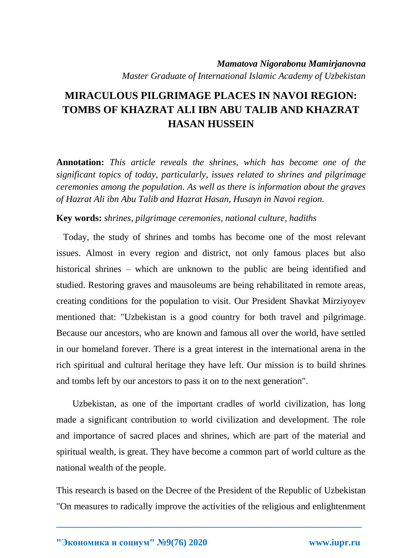## *Mamatova Nigorabonu Mamirjanovna Master Graduate of International Islamic Academy of Uzbekistan*

## **MIRACULOUS PILGRIMAGE PLACES IN NAVOI REGION: TOMBS OF KHAZRAT ALI IBN ABU TALIB AND KHAZRAT HASAN HUSSEIN**

**Annotation:** *This article reveals the shrines, which has become one of the significant topics of today, particularly, issues related to shrines and pilgrimage ceremonies among the population. As well as there is information about the graves of Hazrat Ali ibn Abu Talib and Hazrat Hasan, Husayn in Navoi region.*

## **Key words:** *shrines, pilgrimage ceremonies, national culture, hadiths*

 Today, the study of shrines and tombs has become one of the most relevant issues. Almost in every region and district, not only famous places but also historical shrines – which are unknown to the public are being identified and studied. Restoring graves and mausoleums are being rehabilitated in remote areas, creating conditions for the population to visit. Our President Shavkat Mirziyoyev mentioned that: "Uzbekistan is a good country for both travel and pilgrimage. Because our ancestors, who are known and famous all over the world, have settled in our homeland forever. There is a great interest in the international arena in the rich spiritual and cultural heritage they have left. Our mission is to build shrines and tombs left by our ancestors to pass it on to the next generation".

 Uzbekistan, as one of the important cradles of world civilization, has long made a significant contribution to world civilization and development. The role and importance of sacred places and shrines, which are part of the material and spiritual wealth, is great. They have become a common part of world culture as the national wealth of the people.

This research is based on the Decree of the President of the Republic of Uzbekistan "On measures to radically improve the activities of the religious and enlightenment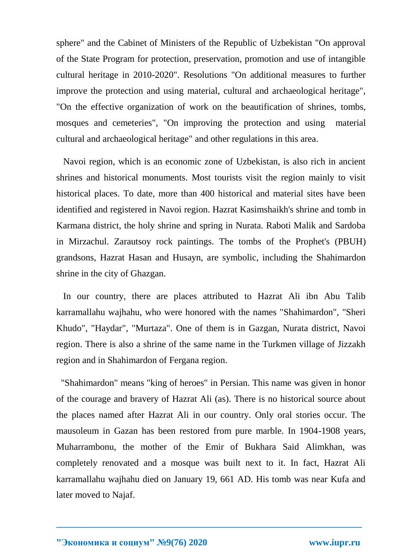sphere" and the Cabinet of Ministers of the Republic of Uzbekistan "On approval of the State Program for protection, preservation, promotion and use of intangible cultural heritage in 2010-2020". Resolutions "On additional measures to further improve the protection and using material, cultural and archaeological heritage", "On the effective organization of work on the beautification of shrines, tombs, mosques and cemeteries", "On improving the protection and using material cultural and archaeological heritage" and other regulations in this area.

 Navoi region, which is an economic zone of Uzbekistan, is also rich in ancient shrines and historical monuments. Most tourists visit the region mainly to visit historical places. To date, more than 400 historical and material sites have been identified and registered in Navoi region. Hazrat Kasimshaikh's shrine and tomb in Karmana district, the holy shrine and spring in Nurata. Raboti Malik and Sardoba in Mirzachul. Zarautsoy rock paintings. The tombs of the Prophet's (PBUH) grandsons, Hazrat Hasan and Husayn, are symbolic, including the Shahimardon shrine in the city of Ghazgan.

 In our country, there are places attributed to Hazrat Ali ibn Abu Talib karramallahu wajhahu, who were honored with the names "Shahimardon", "Sheri Khudo", "Haydar", "Murtaza". One of them is in Gazgan, Nurata district, Navoi region. There is also a shrine of the same name in the Turkmen village of Jizzakh region and in Shahimardon of Fergana region.

 "Shahimardon" means "king of heroes" in Persian. This name was given in honor of the courage and bravery of Hazrat Ali (as). There is no historical source about the places named after Hazrat Ali in our country. Only oral stories occur. The mausoleum in Gazan has been restored from pure marble. In 1904-1908 years, Muharrambonu, the mother of the Emir of Bukhara Said Alimkhan, was completely renovated and a mosque was built next to it. In fact, Hazrat Ali karramallahu wajhahu died on January 19, 661 AD. His tomb was near Kufa and later moved to Najaf.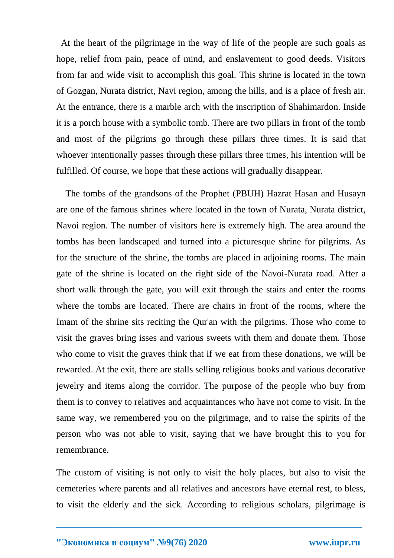At the heart of the pilgrimage in the way of life of the people are such goals as hope, relief from pain, peace of mind, and enslavement to good deeds. Visitors from far and wide visit to accomplish this goal. This shrine is located in the town of Gozgan, Nurata district, Navi region, among the hills, and is a place of fresh air. At the entrance, there is a marble arch with the inscription of Shahimardon. Inside it is a porch house with a symbolic tomb. There are two pillars in front of the tomb and most of the pilgrims go through these pillars three times. It is said that whoever intentionally passes through these pillars three times, his intention will be fulfilled. Of course, we hope that these actions will gradually disappear.

 The tombs of the grandsons of the Prophet (PBUH) Hazrat Hasan and Husayn are one of the famous shrines where located in the town of Nurata, Nurata district, Navoi region. The number of visitors here is extremely high. The area around the tombs has been landscaped and turned into a picturesque shrine for pilgrims. As for the structure of the shrine, the tombs are placed in adjoining rooms. The main gate of the shrine is located on the right side of the Navoi-Nurata road. After a short walk through the gate, you will exit through the stairs and enter the rooms where the tombs are located. There are chairs in front of the rooms, where the Imam of the shrine sits reciting the Qur'an with the pilgrims. Those who come to visit the graves bring isses and various sweets with them and donate them. Those who come to visit the graves think that if we eat from these donations, we will be rewarded. At the exit, there are stalls selling religious books and various decorative jewelry and items along the corridor. The purpose of the people who buy from them is to convey to relatives and acquaintances who have not come to visit. In the same way, we remembered you on the pilgrimage, and to raise the spirits of the person who was not able to visit, saying that we have brought this to you for remembrance.

The custom of visiting is not only to visit the holy places, but also to visit the cemeteries where parents and all relatives and ancestors have eternal rest, to bless, to visit the elderly and the sick. According to religious scholars, pilgrimage is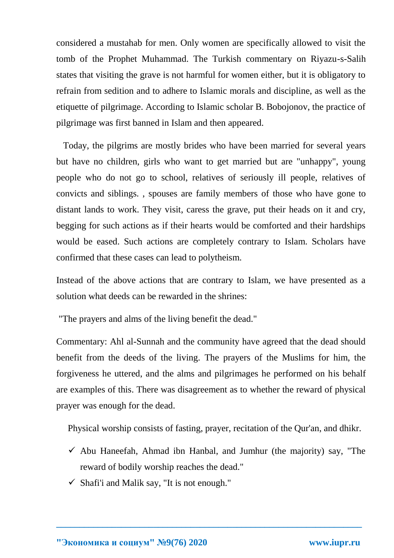considered a mustahab for men. Only women are specifically allowed to visit the tomb of the Prophet Muhammad. The Turkish commentary on Riyazu-s-Salih states that visiting the grave is not harmful for women either, but it is obligatory to refrain from sedition and to adhere to Islamic morals and discipline, as well as the etiquette of pilgrimage. According to Islamic scholar B. Bobojonov, the practice of pilgrimage was first banned in Islam and then appeared.

 Today, the pilgrims are mostly brides who have been married for several years but have no children, girls who want to get married but are "unhappy", young people who do not go to school, relatives of seriously ill people, relatives of convicts and siblings. , spouses are family members of those who have gone to distant lands to work. They visit, caress the grave, put their heads on it and cry, begging for such actions as if their hearts would be comforted and their hardships would be eased. Such actions are completely contrary to Islam. Scholars have confirmed that these cases can lead to polytheism.

Instead of the above actions that are contrary to Islam, we have presented as a solution what deeds can be rewarded in the shrines:

"The prayers and alms of the living benefit the dead."

Commentary: Ahl al-Sunnah and the community have agreed that the dead should benefit from the deeds of the living. The prayers of the Muslims for him, the forgiveness he uttered, and the alms and pilgrimages he performed on his behalf are examples of this. There was disagreement as to whether the reward of physical prayer was enough for the dead.

Physical worship consists of fasting, prayer, recitation of the Qur'an, and dhikr.

 $\checkmark$  Abu Haneefah, Ahmad ibn Hanbal, and Jumhur (the majority) say, "The reward of bodily worship reaches the dead."

**\_\_\_\_\_\_\_\_\_\_\_\_\_\_\_\_\_\_\_\_\_\_\_\_\_\_\_\_\_\_\_\_\_\_\_\_\_\_\_\_\_\_\_\_\_\_\_\_\_\_\_\_\_\_\_\_\_\_\_\_\_\_\_\_\_\_**

 $\checkmark$  Shafi'i and Malik say, "It is not enough."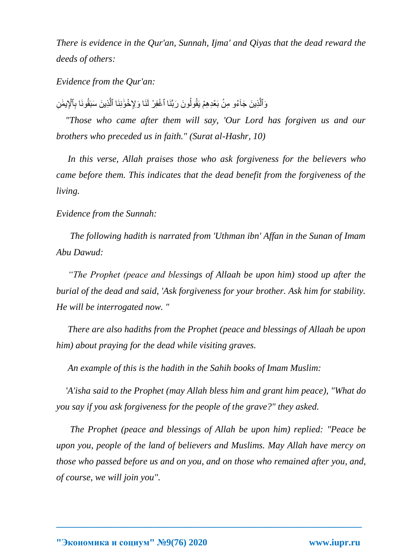*There is evidence in the Qur'an, Sunnah, Ijma' and Qiyas that the dead reward the deeds of others:*

*Evidence from the Qur'an:*

وَٱلَّذِينَ جَاْءُو مِنْ بَعْدِهِمْ يَقُولُونَ رَبَّنَا ٱغْفِرْ لَذَا وَلِإِخْوَٰنِنَا ٱلَّذِينَ سَبَقُونَا بِٱلْإِيضٰ َّ ِ مَّ<br>ا

 *"Those who came after them will say, 'Our Lord has forgiven us and our brothers who preceded us in faith." (Surat al-Hashr, 10)*

 *In this verse, Allah praises those who ask forgiveness for the believers who came before them. This indicates that the dead benefit from the forgiveness of the living.*

*Evidence from the Sunnah:*

 *The following hadith is narrated from 'Uthman ibn' Affan in the Sunan of Imam Abu Dawud:*

 *"The Prophet (peace and blessings of Allaah be upon him) stood up after the burial of the dead and said, 'Ask forgiveness for your brother. Ask him for stability. He will be interrogated now. "*

 *There are also hadiths from the Prophet (peace and blessings of Allaah be upon him) about praying for the dead while visiting graves.*

 *An example of this is the hadith in the Sahih books of Imam Muslim:*

 *'A'isha said to the Prophet (may Allah bless him and grant him peace), "What do you say if you ask forgiveness for the people of the grave?" they asked.*

 *The Prophet (peace and blessings of Allah be upon him) replied: "Peace be upon you, people of the land of believers and Muslims. May Allah have mercy on those who passed before us and on you, and on those who remained after you, and, of course, we will join you".*